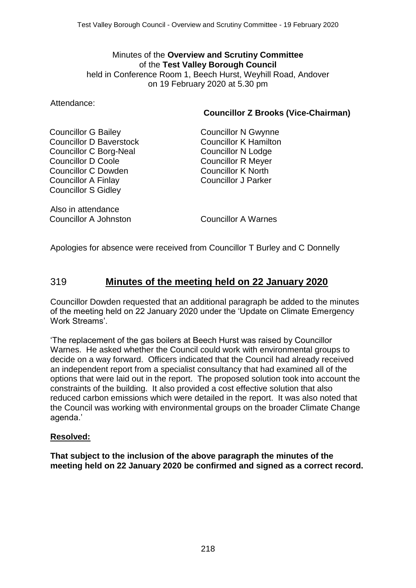#### Minutes of the **Overview and Scrutiny Committee** of the **Test Valley Borough Council** held in Conference Room 1, Beech Hurst, Weyhill Road, Andover on 19 February 2020 at 5.30 pm

Attendance:

## **Councillor Z Brooks (Vice-Chairman)**

Councillor G Bailey Councillor D Baverstock Councillor C Borg-Neal Councillor D Coole Councillor C Dowden Councillor A Finlay Councillor S Gidley

Also in attendance Councillor A Johnston Councillor A Warnes

Councillor N Gwynne Councillor K Hamilton Councillor N Lodge Councillor R Meyer Councillor K North Councillor J Parker

Apologies for absence were received from Councillor T Burley and C Donnelly

## 319 **Minutes of the meeting held on 22 January 2020**

Councillor Dowden requested that an additional paragraph be added to the minutes of the meeting held on 22 January 2020 under the 'Update on Climate Emergency Work Streams'.

'The replacement of the gas boilers at Beech Hurst was raised by Councillor Warnes. He asked whether the Council could work with environmental groups to decide on a way forward. Officers indicated that the Council had already received an independent report from a specialist consultancy that had examined all of the options that were laid out in the report. The proposed solution took into account the constraints of the building. It also provided a cost effective solution that also reduced carbon emissions which were detailed in the report. It was also noted that the Council was working with environmental groups on the broader Climate Change agenda.'

### **Resolved:**

**That subject to the inclusion of the above paragraph the minutes of the meeting held on 22 January 2020 be confirmed and signed as a correct record.**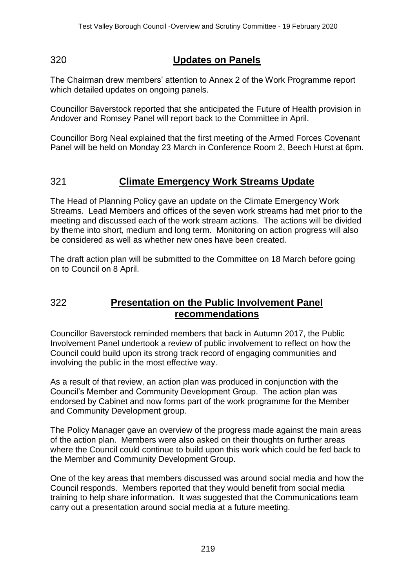# 320 **Updates on Panels**

The Chairman drew members' attention to Annex 2 of the Work Programme report which detailed updates on ongoing panels.

Councillor Baverstock reported that she anticipated the Future of Health provision in Andover and Romsey Panel will report back to the Committee in April.

Councillor Borg Neal explained that the first meeting of the Armed Forces Covenant Panel will be held on Monday 23 March in Conference Room 2, Beech Hurst at 6pm.

# 321 **Climate Emergency Work Streams Update**

The Head of Planning Policy gave an update on the Climate Emergency Work Streams. Lead Members and offices of the seven work streams had met prior to the meeting and discussed each of the work stream actions. The actions will be divided by theme into short, medium and long term. Monitoring on action progress will also be considered as well as whether new ones have been created.

The draft action plan will be submitted to the Committee on 18 March before going on to Council on 8 April.

## 322 **Presentation on the Public Involvement Panel recommendations**

Councillor Baverstock reminded members that back in Autumn 2017, the Public Involvement Panel undertook a review of public involvement to reflect on how the Council could build upon its strong track record of engaging communities and involving the public in the most effective way.

As a result of that review, an action plan was produced in conjunction with the Council's Member and Community Development Group. The action plan was endorsed by Cabinet and now forms part of the work programme for the Member and Community Development group.

The Policy Manager gave an overview of the progress made against the main areas of the action plan. Members were also asked on their thoughts on further areas where the Council could continue to build upon this work which could be fed back to the Member and Community Development Group.

One of the key areas that members discussed was around social media and how the Council responds. Members reported that they would benefit from social media training to help share information. It was suggested that the Communications team carry out a presentation around social media at a future meeting.